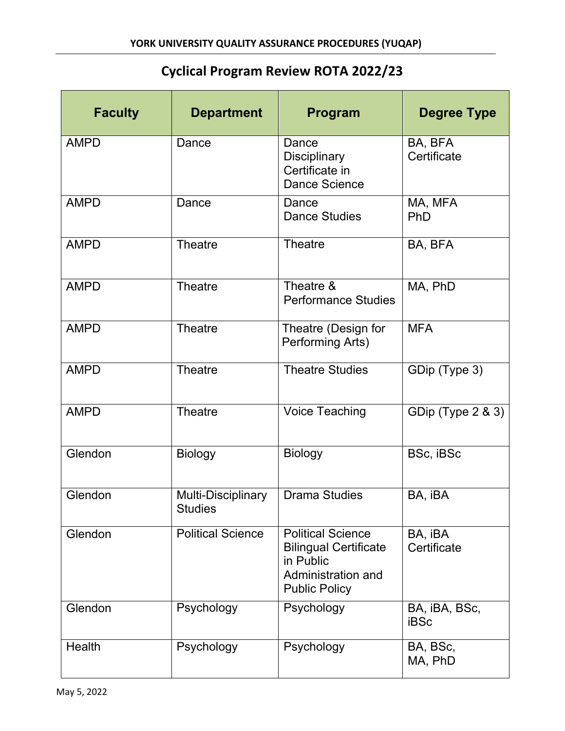## **Cyclical Program Review ROTA 2022/23**

| <b>Faculty</b> | <b>Department</b>                    | Program                                                                                                             | <b>Degree Type</b>           |
|----------------|--------------------------------------|---------------------------------------------------------------------------------------------------------------------|------------------------------|
| <b>AMPD</b>    | Dance                                | Dance<br><b>Disciplinary</b><br>Certificate in<br><b>Dance Science</b>                                              | BA, BFA<br>Certificate       |
| <b>AMPD</b>    | Dance                                | Dance<br><b>Dance Studies</b>                                                                                       | MA, MFA<br>PhD               |
| <b>AMPD</b>    | <b>Theatre</b>                       | <b>Theatre</b>                                                                                                      | BA, BFA                      |
| <b>AMPD</b>    | <b>Theatre</b>                       | Theatre &<br><b>Performance Studies</b>                                                                             | MA, PhD                      |
| <b>AMPD</b>    | <b>Theatre</b>                       | Theatre (Design for<br>Performing Arts)                                                                             | <b>MFA</b>                   |
| <b>AMPD</b>    | <b>Theatre</b>                       | <b>Theatre Studies</b>                                                                                              | GDip (Type 3)                |
| <b>AMPD</b>    | <b>Theatre</b>                       | <b>Voice Teaching</b>                                                                                               | GDip (Type 2 & 3)            |
| Glendon        | <b>Biology</b>                       | <b>Biology</b>                                                                                                      | BSc, iBSc                    |
| Glendon        | Multi-Disciplinary<br><b>Studies</b> | <b>Drama Studies</b>                                                                                                | BA, iBA                      |
| Glendon        | <b>Political Science</b>             | <b>Political Science</b><br><b>Bilingual Certificate</b><br>in Public<br>Administration and<br><b>Public Policy</b> | BA, iBA<br>Certificate       |
| Glendon        | Psychology                           | Psychology                                                                                                          | BA, iBA, BSc,<br><b>iBSc</b> |
| Health         | Psychology                           | Psychology                                                                                                          | BA, BSc,<br>MA, PhD          |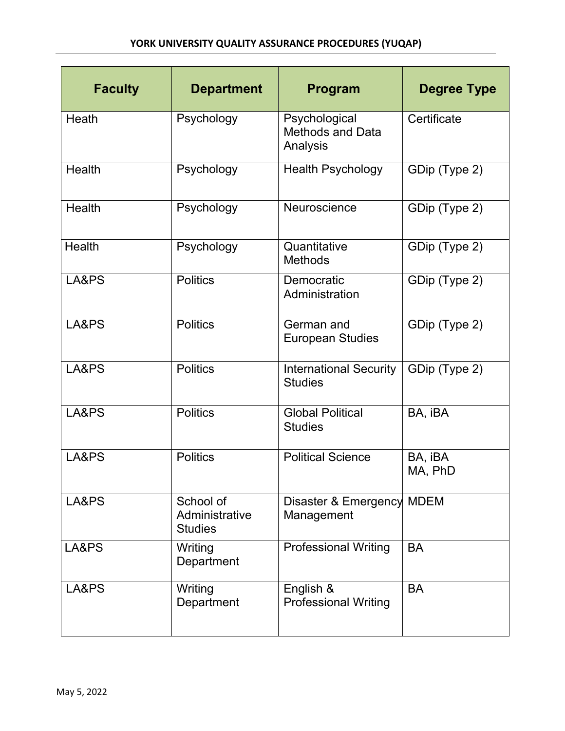| <b>Faculty</b> | <b>Department</b>                             | Program                                              | <b>Degree Type</b> |
|----------------|-----------------------------------------------|------------------------------------------------------|--------------------|
| Heath          | Psychology                                    | Psychological<br><b>Methods and Data</b><br>Analysis | Certificate        |
| <b>Health</b>  | Psychology                                    | <b>Health Psychology</b>                             | GDip (Type 2)      |
| Health         | Psychology                                    | Neuroscience                                         | GDip (Type 2)      |
| <b>Health</b>  | Psychology                                    | Quantitative<br><b>Methods</b>                       | GDip (Type 2)      |
| LA&PS          | <b>Politics</b>                               | Democratic<br>Administration                         | GDip (Type 2)      |
| LA&PS          | <b>Politics</b>                               | German and<br><b>European Studies</b>                | GDip (Type 2)      |
| LA&PS          | <b>Politics</b>                               | <b>International Security</b><br><b>Studies</b>      | GDip (Type 2)      |
| LA&PS          | <b>Politics</b>                               | <b>Global Political</b><br><b>Studies</b>            | BA, iBA            |
| LA&PS          | <b>Politics</b>                               | <b>Political Science</b>                             | BA, iBA<br>MA, PhD |
| LA&PS          | School of<br>Administrative<br><b>Studies</b> | Disaster & Emergency MDEM<br>Management              |                    |
| LA&PS          | Writing<br>Department                         | <b>Professional Writing</b>                          | <b>BA</b>          |
| LA&PS          | Writing<br>Department                         | English &<br><b>Professional Writing</b>             | <b>BA</b>          |